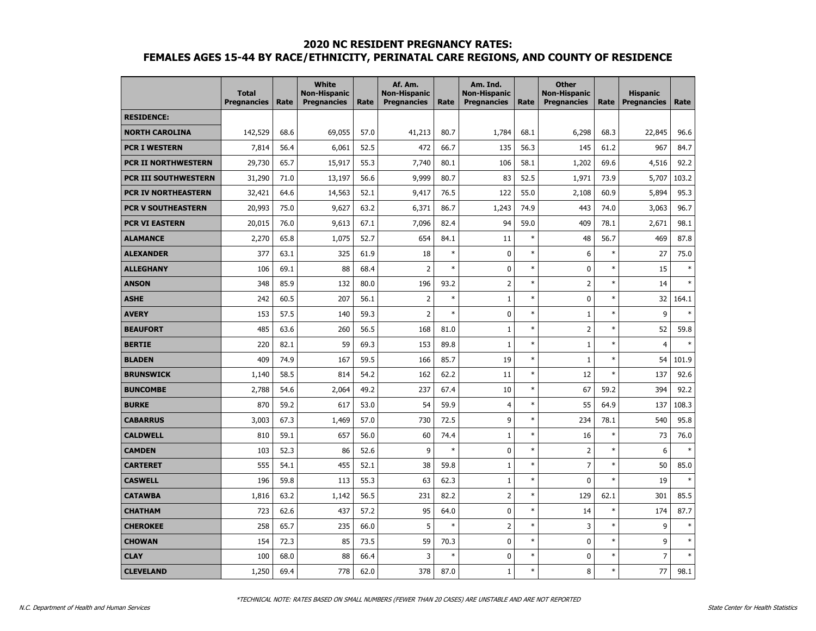|                            | <b>Total</b><br><b>Pregnancies</b> | Rate | <b>White</b><br><b>Non-Hispanic</b><br><b>Pregnancies</b> | Rate | Af. Am.<br><b>Non-Hispanic</b><br><b>Pregnancies</b> | Rate   | Am. Ind.<br>Non-Hispanic<br><b>Pregnancies</b> | Rate   | <b>Other</b><br><b>Non-Hispanic</b><br><b>Pregnancies</b> | Rate   | <b>Hispanic</b><br><b>Pregnancies</b> | Rate   |
|----------------------------|------------------------------------|------|-----------------------------------------------------------|------|------------------------------------------------------|--------|------------------------------------------------|--------|-----------------------------------------------------------|--------|---------------------------------------|--------|
| <b>RESIDENCE:</b>          |                                    |      |                                                           |      |                                                      |        |                                                |        |                                                           |        |                                       |        |
| <b>NORTH CAROLINA</b>      | 142,529                            | 68.6 | 69,055                                                    | 57.0 | 41,213                                               | 80.7   | 1,784                                          | 68.1   | 6,298                                                     | 68.3   | 22,845                                | 96.6   |
| <b>PCR I WESTERN</b>       | 7,814                              | 56.4 | 6,061                                                     | 52.5 | 472                                                  | 66.7   | 135                                            | 56.3   | 145                                                       | 61.2   | 967                                   | 84.7   |
| PCR II NORTHWESTERN        | 29,730                             | 65.7 | 15,917                                                    | 55.3 | 7,740                                                | 80.1   | 106                                            | 58.1   | 1,202                                                     | 69.6   | 4,516                                 | 92.2   |
| PCR III SOUTHWESTERN       | 31,290                             | 71.0 | 13,197                                                    | 56.6 | 9,999                                                | 80.7   | 83                                             | 52.5   | 1,971                                                     | 73.9   | 5,707                                 | 103.2  |
| <b>PCR IV NORTHEASTERN</b> | 32,421                             | 64.6 | 14,563                                                    | 52.1 | 9,417                                                | 76.5   | 122                                            | 55.0   | 2,108                                                     | 60.9   | 5,894                                 | 95.3   |
| <b>PCR V SOUTHEASTERN</b>  | 20,993                             | 75.0 | 9,627                                                     | 63.2 | 6,371                                                | 86.7   | 1,243                                          | 74.9   | 443                                                       | 74.0   | 3,063                                 | 96.7   |
| <b>PCR VI EASTERN</b>      | 20,015                             | 76.0 | 9,613                                                     | 67.1 | 7,096                                                | 82.4   | 94                                             | 59.0   | 409                                                       | 78.1   | 2,671                                 | 98.1   |
| <b>ALAMANCE</b>            | 2,270                              | 65.8 | 1,075                                                     | 52.7 | 654                                                  | 84.1   | 11                                             | $\ast$ | 48                                                        | 56.7   | 469                                   | 87.8   |
| <b>ALEXANDER</b>           | 377                                | 63.1 | 325                                                       | 61.9 | 18                                                   | $\ast$ | 0                                              | $\ast$ | 6                                                         | $\ast$ | 27                                    | 75.0   |
| <b>ALLEGHANY</b>           | 106                                | 69.1 | 88                                                        | 68.4 | $\overline{2}$                                       | $\ast$ | 0                                              | $\ast$ | 0                                                         | $\ast$ | 15                                    | $\ast$ |
| ANSON                      | 348                                | 85.9 | 132                                                       | 80.0 | 196                                                  | 93.2   | 2                                              | $\ast$ | $\overline{2}$                                            | $\ast$ | 14                                    | ×      |
| <b>ASHE</b>                | 242                                | 60.5 | 207                                                       | 56.1 | $\overline{2}$                                       | $\ast$ | $\mathbf{1}$                                   | $\ast$ | $\mathbf 0$                                               | $\ast$ | 32                                    | 164.1  |
| <b>AVERY</b>               | 153                                | 57.5 | 140                                                       | 59.3 | $\overline{2}$                                       | $\ast$ | 0                                              | $\ast$ | $\mathbf{1}$                                              | $\ast$ | 9                                     | ×      |
| <b>BEAUFORT</b>            | 485                                | 63.6 | 260                                                       | 56.5 | 168                                                  | 81.0   | $\mathbf{1}$                                   | $\ast$ | $\overline{2}$                                            | $\ast$ | 52                                    | 59.8   |
| <b>BERTIE</b>              | 220                                | 82.1 | 59                                                        | 69.3 | 153                                                  | 89.8   | $\mathbf{1}$                                   | $\ast$ | $\mathbf{1}$                                              | $\ast$ | $\overline{4}$                        | ×,     |
| <b>BLADEN</b>              | 409                                | 74.9 | 167                                                       | 59.5 | 166                                                  | 85.7   | 19                                             | $\ast$ | $\mathbf{1}$                                              | $\ast$ | 54                                    | 101.9  |
| <b>BRUNSWICK</b>           | 1,140                              | 58.5 | 814                                                       | 54.2 | 162                                                  | 62.2   | 11                                             | $\ast$ | 12                                                        | $\ast$ | 137                                   | 92.6   |
| <b>BUNCOMBE</b>            | 2,788                              | 54.6 | 2,064                                                     | 49.2 | 237                                                  | 67.4   | 10                                             | $\ast$ | 67                                                        | 59.2   | 394                                   | 92.2   |
| <b>BURKE</b>               | 870                                | 59.2 | 617                                                       | 53.0 | 54                                                   | 59.9   | 4                                              | $\ast$ | 55                                                        | 64.9   | 137                                   | 108.3  |
| <b>CABARRUS</b>            | 3,003                              | 67.3 | 1,469                                                     | 57.0 | 730                                                  | 72.5   | 9                                              | $\ast$ | 234                                                       | 78.1   | 540                                   | 95.8   |
| <b>CALDWELL</b>            | 810                                | 59.1 | 657                                                       | 56.0 | 60                                                   | 74.4   | $\mathbf{1}$                                   | $\ast$ | 16                                                        | $\ast$ | 73                                    | 76.0   |
| <b>CAMDEN</b>              | 103                                | 52.3 | 86                                                        | 52.6 | 9                                                    | $\ast$ | 0                                              | $\ast$ | 2                                                         | $\ast$ | 6                                     | $\ast$ |
| <b>CARTERET</b>            | 555                                | 54.1 | 455                                                       | 52.1 | 38                                                   | 59.8   | $\mathbf{1}$                                   | $\ast$ | $\overline{7}$                                            | $\ast$ | 50                                    | 85.0   |
| <b>CASWELL</b>             | 196                                | 59.8 | 113                                                       | 55.3 | 63                                                   | 62.3   | $\mathbf{1}$                                   | $\ast$ | $\mathbf 0$                                               | $\ast$ | 19                                    | $\ast$ |
| <b>CATAWBA</b>             | 1,816                              | 63.2 | 1,142                                                     | 56.5 | 231                                                  | 82.2   | $\overline{2}$                                 | $\ast$ | 129                                                       | 62.1   | 301                                   | 85.5   |
| <b>CHATHAM</b>             | 723                                | 62.6 | 437                                                       | 57.2 | 95                                                   | 64.0   | 0                                              | $\ast$ | 14                                                        | $\ast$ | 174                                   | 87.7   |
| <b>CHEROKEE</b>            | 258                                | 65.7 | 235                                                       | 66.0 | 5                                                    | $\ast$ | $\overline{2}$                                 | $\ast$ | 3                                                         | $\ast$ | 9                                     | $\ast$ |
| <b>CHOWAN</b>              | 154                                | 72.3 | 85                                                        | 73.5 | 59                                                   | 70.3   | 0                                              | $\ast$ | $\pmb{0}$                                                 | $\ast$ | 9                                     | $\ast$ |
| <b>CLAY</b>                | 100                                | 68.0 | 88                                                        | 66.4 | 3                                                    | $\ast$ | 0                                              | $\ast$ | $\mathbf 0$                                               | $\ast$ | 7                                     | $\ast$ |
| <b>CLEVELAND</b>           | 1,250                              | 69.4 | 778                                                       | 62.0 | 378                                                  | 87.0   | $\mathbf{1}$                                   | $\ast$ | 8                                                         | $\ast$ | 77                                    | 98.1   |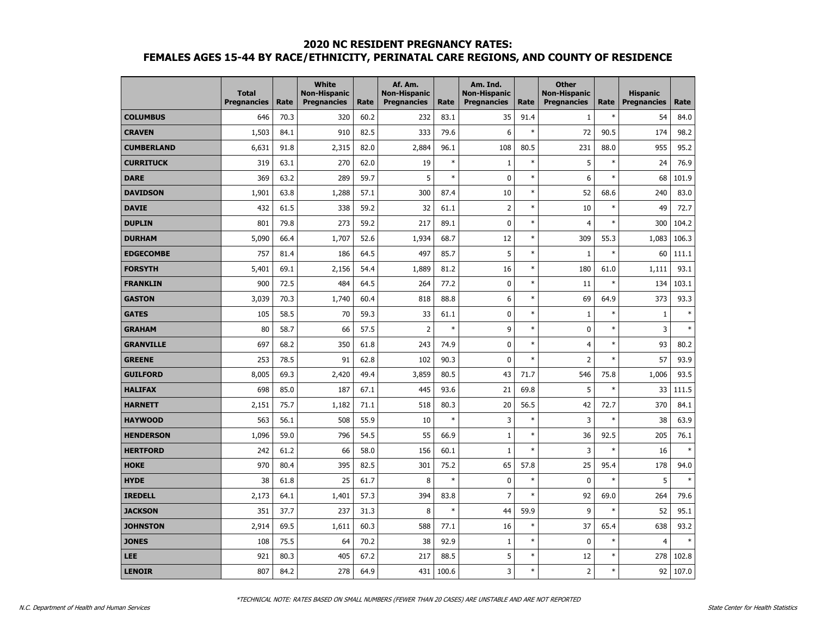|                   | <b>Total</b><br><b>Pregnancies</b> | Rate | White<br><b>Non-Hispanic</b><br><b>Pregnancies</b> | Rate | Af. Am.<br><b>Non-Hispanic</b><br><b>Pregnancies</b> | Rate   | Am. Ind.<br><b>Non-Hispanic</b><br><b>Pregnancies</b> | Rate   | <b>Other</b><br><b>Non-Hispanic</b><br><b>Pregnancies</b> | Rate   | <b>Hispanic</b><br><b>Pregnancies</b> | Rate    |
|-------------------|------------------------------------|------|----------------------------------------------------|------|------------------------------------------------------|--------|-------------------------------------------------------|--------|-----------------------------------------------------------|--------|---------------------------------------|---------|
| <b>COLUMBUS</b>   | 646                                | 70.3 | 320                                                | 60.2 | 232                                                  | 83.1   | 35                                                    | 91.4   | $\mathbf{1}$                                              | $\ast$ | 54                                    | 84.0    |
| <b>CRAVEN</b>     | 1,503                              | 84.1 | 910                                                | 82.5 | 333                                                  | 79.6   | 6                                                     | $\ast$ | 72                                                        | 90.5   | 174                                   | 98.2    |
| <b>CUMBERLAND</b> | 6,631                              | 91.8 | 2,315                                              | 82.0 | 2,884                                                | 96.1   | 108                                                   | 80.5   | 231                                                       | 88.0   | 955                                   | 95.2    |
| <b>CURRITUCK</b>  | 319                                | 63.1 | 270                                                | 62.0 | 19                                                   | $\ast$ | $1\,$                                                 | $\ast$ | 5                                                         | $\ast$ | 24                                    | 76.9    |
| <b>DARE</b>       | 369                                | 63.2 | 289                                                | 59.7 | 5                                                    | $\ast$ | 0                                                     | $\ast$ | 6                                                         | $\ast$ | 68                                    | 101.9   |
| <b>DAVIDSON</b>   | 1,901                              | 63.8 | 1,288                                              | 57.1 | 300                                                  | 87.4   | 10                                                    | $\ast$ | 52                                                        | 68.6   | 240                                   | 83.0    |
| <b>DAVIE</b>      | 432                                | 61.5 | 338                                                | 59.2 | 32                                                   | 61.1   | $\overline{2}$                                        | $\ast$ | 10                                                        | $\ast$ | 49                                    | 72.7    |
| <b>DUPLIN</b>     | 801                                | 79.8 | 273                                                | 59.2 | 217                                                  | 89.1   | 0                                                     | $\ast$ | $\overline{4}$                                            | $\ast$ | 300                                   | 104.2   |
| <b>DURHAM</b>     | 5,090                              | 66.4 | 1,707                                              | 52.6 | 1,934                                                | 68.7   | 12                                                    | $\ast$ | 309                                                       | 55.3   | 1,083                                 | 106.3   |
| <b>EDGECOMBE</b>  | 757                                | 81.4 | 186                                                | 64.5 | 497                                                  | 85.7   | 5                                                     | $\ast$ | $\mathbf{1}$                                              | $\ast$ | 60                                    | 111.1   |
| <b>FORSYTH</b>    | 5,401                              | 69.1 | 2,156                                              | 54.4 | 1,889                                                | 81.2   | 16                                                    | $\ast$ | 180                                                       | 61.0   | 1,111                                 | 93.1    |
| <b>FRANKLIN</b>   | 900                                | 72.5 | 484                                                | 64.5 | 264                                                  | 77.2   | 0                                                     | $\ast$ | 11                                                        | $\ast$ | 134                                   | 103.1   |
| <b>GASTON</b>     | 3,039                              | 70.3 | 1,740                                              | 60.4 | 818                                                  | 88.8   | 6                                                     | $\ast$ | 69                                                        | 64.9   | 373                                   | 93.3    |
| <b>GATES</b>      | 105                                | 58.5 | 70                                                 | 59.3 | 33                                                   | 61.1   | 0                                                     | $\ast$ | $\mathbf{1}$                                              | $\ast$ | $\mathbf{1}$                          | ×       |
| <b>GRAHAM</b>     | 80                                 | 58.7 | 66                                                 | 57.5 | $\overline{2}$                                       | $\ast$ | 9                                                     | $\ast$ | $\mathbf 0$                                               | $\ast$ | 3                                     | ×,      |
| <b>GRANVILLE</b>  | 697                                | 68.2 | 350                                                | 61.8 | 243                                                  | 74.9   | 0                                                     | $\ast$ | $\overline{4}$                                            | $\ast$ | 93                                    | 80.2    |
| <b>GREENE</b>     | 253                                | 78.5 | 91                                                 | 62.8 | 102                                                  | 90.3   | $\mathbf 0$                                           | $\ast$ | $\overline{2}$                                            | $\ast$ | 57                                    | 93.9    |
| <b>GUILFORD</b>   | 8,005                              | 69.3 | 2,420                                              | 49.4 | 3,859                                                | 80.5   | 43                                                    | 71.7   | 546                                                       | 75.8   | 1,006                                 | 93.5    |
| <b>HALIFAX</b>    | 698                                | 85.0 | 187                                                | 67.1 | 445                                                  | 93.6   | 21                                                    | 69.8   | 5                                                         | $\ast$ | 33                                    | 111.5   |
| <b>HARNETT</b>    | 2,151                              | 75.7 | 1,182                                              | 71.1 | 518                                                  | 80.3   | 20                                                    | 56.5   | 42                                                        | 72.7   | 370                                   | 84.1    |
| <b>HAYWOOD</b>    | 563                                | 56.1 | 508                                                | 55.9 | 10                                                   | $\ast$ | 3                                                     | $\ast$ | 3                                                         | $\ast$ | 38                                    | 63.9    |
| <b>HENDERSON</b>  | 1,096                              | 59.0 | 796                                                | 54.5 | 55                                                   | 66.9   | $\mathbf{1}$                                          | $\ast$ | 36                                                        | 92.5   | 205                                   | 76.1    |
| <b>HERTFORD</b>   | 242                                | 61.2 | 66                                                 | 58.0 | 156                                                  | 60.1   | $\mathbf{1}$                                          | $\ast$ | $\overline{3}$                                            | $\ast$ | 16                                    | ×,      |
| <b>HOKE</b>       | 970                                | 80.4 | 395                                                | 82.5 | 301                                                  | 75.2   | 65                                                    | 57.8   | 25                                                        | 95.4   | 178                                   | 94.0    |
| <b>HYDE</b>       | 38                                 | 61.8 | 25                                                 | 61.7 | 8                                                    | $\ast$ | 0                                                     | $\ast$ | $\mathbf 0$                                               | $\ast$ | 5                                     | $\star$ |
| <b>IREDELL</b>    | 2,173                              | 64.1 | 1,401                                              | 57.3 | 394                                                  | 83.8   | $\overline{7}$                                        | $\ast$ | 92                                                        | 69.0   | 264                                   | 79.6    |
| <b>JACKSON</b>    | 351                                | 37.7 | 237                                                | 31.3 | 8                                                    | $\ast$ | 44                                                    | 59.9   | 9                                                         | $\ast$ | 52                                    | 95.1    |
| <b>JOHNSTON</b>   | 2,914                              | 69.5 | 1,611                                              | 60.3 | 588                                                  | 77.1   | 16                                                    | $\ast$ | 37                                                        | 65.4   | 638                                   | 93.2    |
| <b>JONES</b>      | 108                                | 75.5 | 64                                                 | 70.2 | 38                                                   | 92.9   | $\mathbf 1$                                           | $\ast$ | $\mathbf 0$                                               | $\ast$ | 4                                     |         |
| <b>LEE</b>        | 921                                | 80.3 | 405                                                | 67.2 | 217                                                  | 88.5   | 5                                                     | $\ast$ | 12                                                        | $\ast$ | 278                                   | 102.8   |
| <b>LENOIR</b>     | 807                                | 84.2 | 278                                                | 64.9 | 431                                                  | 100.6  | 3                                                     | $\ast$ | $\mathsf 2$                                               | $\ast$ | 92                                    | 107.0   |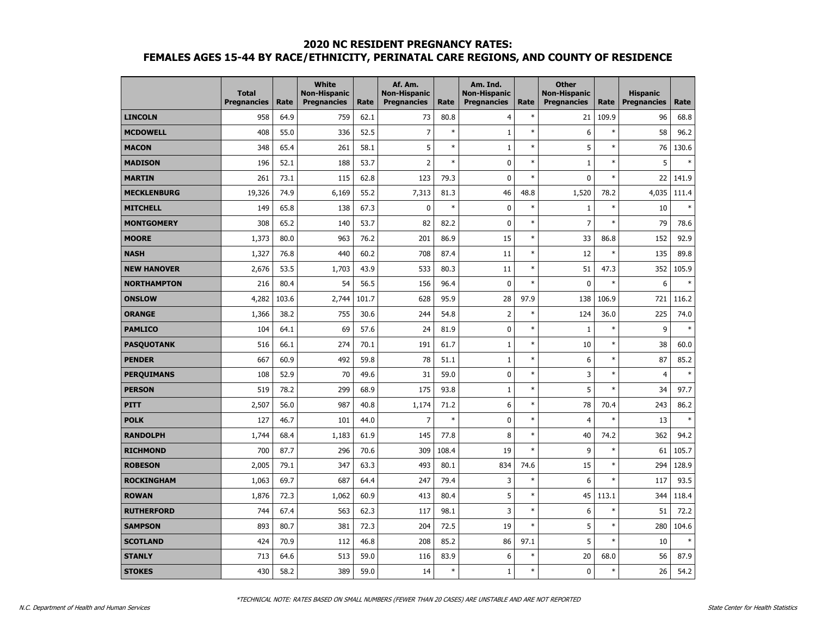|                    | <b>Total</b><br><b>Pregnancies</b> | Rate  | <b>White</b><br><b>Non-Hispanic</b><br><b>Pregnancies</b> | Rate  | Af. Am.<br><b>Non-Hispanic</b><br><b>Pregnancies</b> | Rate   | Am. Ind.<br><b>Non-Hispanic</b><br><b>Pregnancies</b> | Rate   | <b>Other</b><br><b>Non-Hispanic</b><br><b>Pregnancies</b> | Rate   | <b>Hispanic</b><br><b>Pregnancies</b> | Rate          |
|--------------------|------------------------------------|-------|-----------------------------------------------------------|-------|------------------------------------------------------|--------|-------------------------------------------------------|--------|-----------------------------------------------------------|--------|---------------------------------------|---------------|
| <b>LINCOLN</b>     | 958                                | 64.9  | 759                                                       | 62.1  | 73                                                   | 80.8   | 4                                                     | $\ast$ | 21                                                        | 109.9  | 96                                    | 68.8          |
| <b>MCDOWELL</b>    | 408                                | 55.0  | 336                                                       | 52.5  | $\overline{7}$                                       | $\ast$ | $\mathbf{1}$                                          | $\ast$ | 6                                                         | $\ast$ | 58                                    | 96.2          |
| <b>MACON</b>       | 348                                | 65.4  | 261                                                       | 58.1  | 5                                                    | $\ast$ | $\mathbf{1}$                                          | $\ast$ | 5                                                         | $\ast$ | 76                                    | 130.6         |
| <b>MADISON</b>     | 196                                | 52.1  | 188                                                       | 53.7  | $\overline{2}$                                       | $\ast$ | 0                                                     | $\ast$ | $\mathbf{1}$                                              | $\ast$ | 5                                     | ×,            |
| <b>MARTIN</b>      | 261                                | 73.1  | 115                                                       | 62.8  | 123                                                  | 79.3   | 0                                                     | $\ast$ | $\mathbf 0$                                               | $\ast$ | 22                                    | 141.9         |
| <b>MECKLENBURG</b> | 19,326                             | 74.9  | 6,169                                                     | 55.2  | 7,313                                                | 81.3   | 46                                                    | 48.8   | 1,520                                                     | 78.2   | 4,035                                 | 111.4         |
| <b>MITCHELL</b>    | 149                                | 65.8  | 138                                                       | 67.3  | $\mathbf 0$                                          | $\ast$ | $\mathbf 0$                                           | $\ast$ | $\mathbf{1}$                                              | $\ast$ | 10                                    | ×,            |
| <b>MONTGOMERY</b>  | 308                                | 65.2  | 140                                                       | 53.7  | 82                                                   | 82.2   | $\mathbf{0}$                                          | $\ast$ | $\overline{7}$                                            | $\ast$ | 79                                    | 78.6          |
| <b>MOORE</b>       | 1,373                              | 80.0  | 963                                                       | 76.2  | 201                                                  | 86.9   | 15                                                    | $\ast$ | 33                                                        | 86.8   | 152                                   | 92.9          |
| <b>NASH</b>        | 1,327                              | 76.8  | 440                                                       | 60.2  | 708                                                  | 87.4   | 11                                                    | $\ast$ | 12                                                        | $\ast$ | 135                                   | 89.8          |
| <b>NEW HANOVER</b> | 2,676                              | 53.5  | 1,703                                                     | 43.9  | 533                                                  | 80.3   | 11                                                    | $\ast$ | 51                                                        | 47.3   | 352                                   | 105.9         |
| <b>NORTHAMPTON</b> | 216                                | 80.4  | 54                                                        | 56.5  | 156                                                  | 96.4   | $\mathbf 0$                                           | $\ast$ | $\mathbf 0$                                               | $\ast$ | 6                                     | ×             |
| <b>ONSLOW</b>      | 4,282                              | 103.6 | 2,744                                                     | 101.7 | 628                                                  | 95.9   | 28                                                    | 97.9   | 138                                                       | 106.9  | 721                                   | 116.2         |
| <b>ORANGE</b>      | 1,366                              | 38.2  | 755                                                       | 30.6  | 244                                                  | 54.8   | $\overline{2}$                                        | $\ast$ | 124                                                       | 36.0   | 225                                   | 74.0          |
| <b>PAMLICO</b>     | 104                                | 64.1  | 69                                                        | 57.6  | 24                                                   | 81.9   | 0                                                     | $\ast$ | $\mathbf{1}$                                              | $\ast$ | 9                                     | $\rightarrow$ |
| <b>PASQUOTANK</b>  | 516                                | 66.1  | 274                                                       | 70.1  | 191                                                  | 61.7   | $\mathbf{1}$                                          | $\ast$ | 10                                                        | $\ast$ | 38                                    | 60.0          |
| <b>PENDER</b>      | 667                                | 60.9  | 492                                                       | 59.8  | 78                                                   | 51.1   | $\mathbf{1}$                                          | $\ast$ | 6                                                         | $\ast$ | 87                                    | 85.2          |
| <b>PERQUIMANS</b>  | 108                                | 52.9  | 70                                                        | 49.6  | 31                                                   | 59.0   | 0                                                     | $\ast$ | 3                                                         | $\ast$ | $\overline{4}$                        | $\ast$        |
| <b>PERSON</b>      | 519                                | 78.2  | 299                                                       | 68.9  | 175                                                  | 93.8   | $\mathbf 1$                                           | $\ast$ | 5                                                         | $\ast$ | 34                                    | 97.7          |
| <b>PITT</b>        | 2,507                              | 56.0  | 987                                                       | 40.8  | 1,174                                                | 71.2   | 6                                                     | $\ast$ | 78                                                        | 70.4   | 243                                   | 86.2          |
| <b>POLK</b>        | 127                                | 46.7  | 101                                                       | 44.0  | $\overline{7}$                                       | $\ast$ | 0                                                     | $\ast$ | $\overline{4}$                                            | $\ast$ | 13                                    |               |
| <b>RANDOLPH</b>    | 1,744                              | 68.4  | 1,183                                                     | 61.9  | 145                                                  | 77.8   | 8                                                     | $\ast$ | 40                                                        | 74.2   | 362                                   | 94.2          |
| <b>RICHMOND</b>    | 700                                | 87.7  | 296                                                       | 70.6  | 309                                                  | 108.4  | 19                                                    | $\ast$ | 9                                                         | $\ast$ | 61                                    | 105.7         |
| <b>ROBESON</b>     | 2,005                              | 79.1  | 347                                                       | 63.3  | 493                                                  | 80.1   | 834                                                   | 74.6   | 15                                                        | $\ast$ | 294                                   | 128.9         |
| <b>ROCKINGHAM</b>  | 1,063                              | 69.7  | 687                                                       | 64.4  | 247                                                  | 79.4   | 3                                                     | $\ast$ | 6                                                         | $\ast$ | 117                                   | 93.5          |
| <b>ROWAN</b>       | 1,876                              | 72.3  | 1,062                                                     | 60.9  | 413                                                  | 80.4   | 5                                                     | $\ast$ | 45                                                        | 113.1  | 344                                   | 118.4         |
| <b>RUTHERFORD</b>  | 744                                | 67.4  | 563                                                       | 62.3  | 117                                                  | 98.1   | 3                                                     | $\ast$ | 6                                                         | $\ast$ | 51                                    | 72.2          |
| <b>SAMPSON</b>     | 893                                | 80.7  | 381                                                       | 72.3  | 204                                                  | 72.5   | 19                                                    | $\ast$ | 5                                                         | $\ast$ | 280                                   | 104.6         |
| <b>SCOTLAND</b>    | 424                                | 70.9  | 112                                                       | 46.8  | 208                                                  | 85.2   | 86                                                    | 97.1   | 5                                                         | $\ast$ | 10                                    |               |
| <b>STANLY</b>      | 713                                | 64.6  | 513                                                       | 59.0  | 116                                                  | 83.9   | 6                                                     | $\ast$ | 20                                                        | 68.0   | 56                                    | 87.9          |
| <b>STOKES</b>      | 430                                | 58.2  | 389                                                       | 59.0  | 14                                                   | $\ast$ | $\mathbf 1$                                           | $\ast$ | $\pmb{0}$                                                 | $\ast$ | 26                                    | 54.2          |